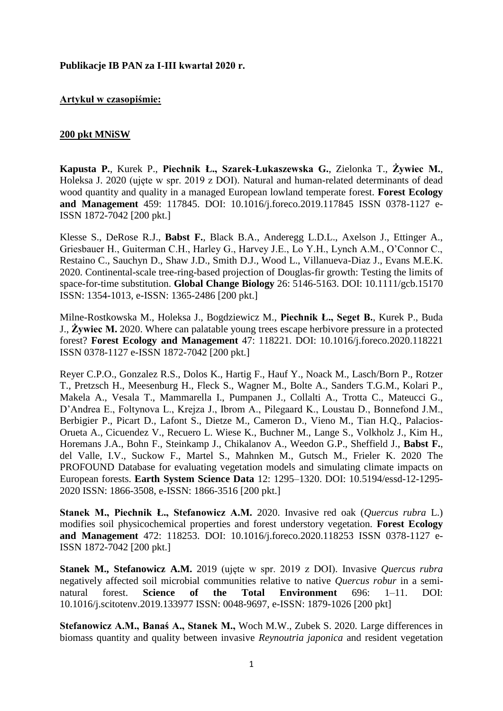#### **Publikacje IB PAN za I-III kwartał 2020 r.**

### **Artykuł w czasopiśmie:**

### **200 pkt MNiSW**

**Kapusta P.**, Kurek P., **Piechnik Ł., Szarek-Łukaszewska G.**, Zielonka T., **Żywiec M.**, Holeksa J. 2020 (ujete w spr. 2019 z DOI). Natural and human-related determinants of dead wood quantity and quality in a managed European lowland temperate forest. **Forest Ecology and Management** 459: 117845. DOI: 10.1016/j.foreco.2019.117845 ISSN 0378-1127 e-ISSN 1872-7042 [200 pkt.]

Klesse S., DeRose R.J., **Babst F.**, Black B.A., Anderegg L.D.L., Axelson J., Ettinger A., Griesbauer H., Guiterman C.H., Harley G., Harvey J.E., Lo Y.H., Lynch A.M., O'Connor C., Restaino C., Sauchyn D., Shaw J.D., Smith D.J., Wood L., Villanueva-Diaz J., Evans M.E.K. 2020. Continental-scale tree-ring-based projection of Douglas-fir growth: Testing the limits of space-for-time substitution. **Global Change Biology** 26: 5146-5163. DOI: 10.1111/gcb.15170 ISSN: 1354-1013, e-ISSN: 1365-2486 [200 pkt.]

Milne-Rostkowska M., Holeksa J., Bogdziewicz M., **Piechnik Ł., Seget B.**, Kurek P., Buda J., **Żywiec M.** 2020. Where can palatable young trees escape herbivore pressure in a protected forest? **Forest Ecology and Management** 47: 118221. DOI: 10.1016/j.foreco.2020.118221 ISSN 0378-1127 e-ISSN 1872-7042 [200 pkt.]

Reyer C.P.O., Gonzalez R.S., Dolos K., Hartig F., Hauf Y., Noack M., Lasch/Born P., Rotzer T., Pretzsch H., Meesenburg H., Fleck S., Wagner M., Bolte A., Sanders T.G.M., Kolari P., Makela A., Vesala T., Mammarella I., Pumpanen J., Collalti A., Trotta C., Mateucci G., D'Andrea E., Foltynova L., Krejza J., Ibrom A., Pilegaard K., Loustau D., Bonnefond J.M., Berbigier P., Picart D., Lafont S., Dietze M., Cameron D., Vieno M., Tian H.Q., Palacios-Orueta A., Cicuendez V., Recuero L. Wiese K., Buchner M., Lange S., Volkholz J., Kim H., Horemans J.A., Bohn F., Steinkamp J., Chikalanov A., Weedon G.P., Sheffield J., **Babst F.**, del Valle, I.V., Suckow F., Martel S., Mahnken M., Gutsch M., Frieler K. 2020 The PROFOUND Database for evaluating vegetation models and simulating climate impacts on European forests. **Earth System Science Data** 12: 1295–1320. DOI: 10.5194/essd-12-1295- 2020 ISSN: 1866-3508, e-ISSN: 1866-3516 [200 pkt.]

**Stanek M., Piechnik Ł., Stefanowicz A.M.** 2020. Invasive red oak (*Quercus rubra* L.) modifies soil physicochemical properties and forest understory vegetation. **Forest Ecology and Management** 472: 118253. DOI: 10.1016/j.foreco.2020.118253 ISSN 0378-1127 e-ISSN 1872-7042 [200 pkt.]

**Stanek M., Stefanowicz A.M.** 2019 (ujęte w spr. 2019 z DOI). Invasive *Quercus rubra* negatively affected soil microbial communities relative to native *Quercus robur* in a seminatural forest. **Science of the Total Environment** 696: 1–11. DOI: 10.1016/j.scitotenv.2019.133977 ISSN: 0048-9697, e-ISSN: 1879-1026 [200 pkt]

**Stefanowicz A.M., Banaś A., Stanek M.,** Woch M.W., Zubek S. 2020. Large differences in biomass quantity and quality between invasive *Reynoutria japonica* and resident vegetation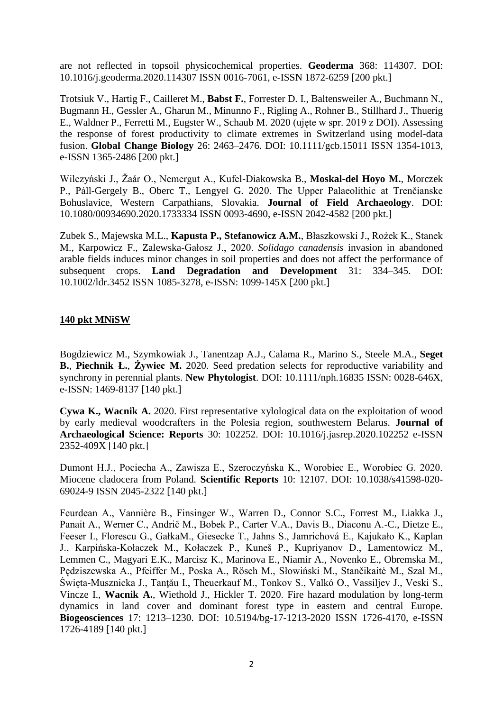are not reflected in topsoil physicochemical properties. **Geoderma** 368: 114307. DOI: 10.1016/j.geoderma.2020.114307 ISSN 0016-7061, e-ISSN 1872-6259 [200 pkt.]

Trotsiuk V., Hartig F., Cailleret M., **Babst F.**, Forrester D. I., Baltensweiler A., Buchmann N., Bugmann H., Gessler A., Gharun M., Minunno F., Rigling A., Rohner B., Stillhard J., Thuerig E., Waldner P., Ferretti M., Eugster W., Schaub M. 2020 (ujęte w spr. 2019 z DOI). Assessing the response of forest productivity to climate extremes in Switzerland using model-data fusion. **Global Change Biology** 26: 2463–2476. DOI: 10.1111/gcb.15011 ISSN 1354-1013, e-ISSN 1365-2486 [200 pkt.]

Wilczyński J., Žaár O., Nemergut A., Kufel-Diakowska B., **Moskal-del Hoyo M.**, Morczek P., Páll-Gergely B., Oberc T., Lengyel G. 2020. The Upper Palaeolithic at Trenčianske Bohuslavice, Western Carpathians, Slovakia. **Journal of Field Archaeology**. DOI: 10.1080/00934690.2020.1733334 ISSN 0093-4690, e-ISSN 2042-4582 [200 pkt.]

Zubek S., Majewska M.L., **Kapusta P., Stefanowicz A.M.**, Błaszkowski J., Rożek K., Stanek M., Karpowicz F., Zalewska-Gałosz J., 2020. *Solidago canadensis* invasion in abandoned arable fields induces minor changes in soil properties and does not affect the performance of subsequent crops. **Land Degradation and Development** 31: 334–345. DOI: 10.1002/ldr.3452 ISSN 1085-3278, e-ISSN: 1099-145X [200 pkt.]

### **140 pkt MNiSW**

Bogdziewicz M., Szymkowiak J., Tanentzap A.J., Calama R., Marino S., Steele M.A., **Seget B.**, **Piechnik Ł.**, **Żywiec M.** 2020. Seed predation selects for reproductive variability and synchrony in perennial plants. **New Phytologist**. DOI: 10.1111/nph.16835 ISSN: 0028-646X, e-ISSN: 1469-8137 [140 pkt.]

**Cywa K., Wacnik A.** 2020. First representative xylological data on the exploitation of wood by early medieval woodcrafters in the Polesia region, southwestern Belarus. **Journal of Archaeological Science: Reports** 30: 102252. DOI: 10.1016/j.jasrep.2020.102252 e-ISSN 2352-409X [140 pkt.]

Dumont H.J., Pociecha A., Zawisza E., Szeroczyńska K., Worobiec E., Worobiec G. 2020. Miocene cladocera from Poland. **Scientific Reports** 10: 12107. DOI: 10.1038/s41598-020- 69024-9 ISSN 2045-2322 [140 pkt.]

Feurdean A., Vannière B., Finsinger W., Warren D., Connor S.C., Forrest M., Liakka J., Panait A., Werner C., Andrič M., Bobek P., Carter V.A., Davis B., Diaconu A.-C., Dietze E., Feeser I., Florescu G., GałkaM., Giesecke T., Jahns S., Jamrichová E., Kajukało K., Kaplan J., Karpińska-Kołaczek M., Kołaczek P., Kuneš P., Kupriyanov D., Lamentowicz M., Lemmen C., Magyari E.K., Marcisz K., Marinova E., Niamir A., Novenko E., Obremska M., Pędziszewska A., Pfeiffer M., Poska A., Rösch M., Słowiński M., Stančikaitė M., Szal M., Święta-Musznicka J., Tanţău I., Theuerkauf M., Tonkov S., Valkó O., Vassiljev J., Veski S., Vincze I., **Wacnik A.**, Wiethold J., Hickler T. 2020. Fire hazard modulation by long-term dynamics in land cover and dominant forest type in eastern and central Europe. **Biogeosciences** 17: 1213–1230. DOI: 10.5194/bg-17-1213-2020 ISSN 1726-4170, e-ISSN 1726-4189 [140 pkt.]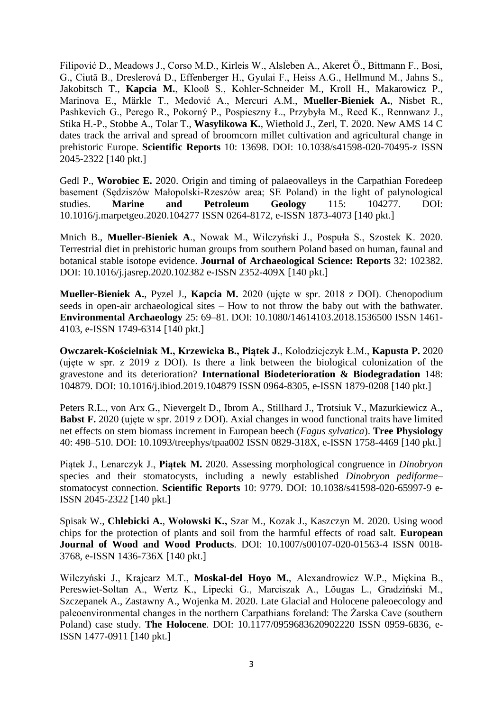Filipović D., Meadows J., Corso M.D., Kirleis W., Alsleben A., Akeret Ö., Bittmann F., Bosi, G., Ciută B., Dreslerová D., Effenberger H., Gyulai F., Heiss A.G., Hellmund M., Jahns S., Jakobitsch T., **Kapcia M.**, Klooß S., Kohler-Schneider M., Kroll H., Makarowicz P., Marinova E., Märkle T., Medović A., Mercuri A.M., **Mueller-Bieniek A.**, Nisbet R., Pashkevich G., Perego R., Pokorný P., Pospieszny Ł., Przybyła M., Reed K., Rennwanz J., Stika H.-P., Stobbe A., Tolar T., **Wasylikowa K.**, Wiethold J., Zerl, T. 2020. New AMS 14 C dates track the arrival and spread of broomcorn millet cultivation and agricultural change in prehistoric Europe. **Scientific Reports** 10: 13698. DOI: 10.1038/s41598-020-70495-z ISSN 2045-2322 [140 pkt.]

Gedl P., **Worobiec E.** 2020. Origin and timing of palaeovalleys in the Carpathian Foredeep basement (Sędziszów Małopolski-Rzeszów area; SE Poland) in the light of palynological studies. **Marine and Petroleum Geology** 115: 104277. DOI: 10.1016/j.marpetgeo.2020.104277 ISSN 0264-8172, e-ISSN 1873-4073 [140 pkt.]

Mnich B., **Mueller-Bieniek A**., Nowak M., Wilczyński J., Pospuła S., Szostek K. 2020. Terrestrial diet in prehistoric human groups from southern Poland based on human, faunal and botanical stable isotope evidence. **Journal of Archaeological Science: Reports** 32: 102382. DOI: 10.1016/j.jasrep.2020.102382 e-ISSN 2352-409X [140 pkt.]

**Mueller-Bieniek A.**, Pyzel J., **Kapcia M.** 2020 (ujęte w spr. 2018 z DOI). Chenopodium seeds in open-air archaeological sites – How to not throw the baby out with the bathwater. **Environmental Archaeology** 25: 69–81. DOI: 10.1080/14614103.2018.1536500 ISSN 1461- 4103, e-ISSN 1749-6314 [140 pkt.]

**Owczarek-Kościelniak M., Krzewicka B., Piątek J.**, Kołodziejczyk Ł.M., **Kapusta P.** 2020 (ujete w spr. z  $2019$  z DOI). Is there a link between the biological colonization of the gravestone and its deterioration? **International Biodeterioration & Biodegradation** 148: 104879. DOI: 10.1016/j.ibiod.2019.104879 ISSN 0964-8305, e-ISSN 1879-0208 [140 pkt.]

Peters R.L., von Arx G., Nievergelt D., Ibrom A., Stillhard J., Trotsiuk V., Mazurkiewicz A., **Babst F.** 2020 (ujęte w spr. 2019 z DOI). Axial changes in wood functional traits have limited net effects on stem biomass increment in European beech (*Fagus sylvatica*). **Tree Physiology** 40: 498–510. DOI: 10.1093/treephys/tpaa002 ISSN 0829-318X, e-ISSN 1758-4469 [140 pkt.]

Piątek J., Lenarczyk J., **Piątek M.** 2020. Assessing morphological congruence in *Dinobryon*  species and their stomatocysts, including a newly established *Dinobryon pediforme*– stomatocyst connection. **Scientific Reports** 10: 9779. DOI: 10.1038/s41598-020-65997-9 e-ISSN 2045-2322 [140 pkt.]

Spisak W., **Chlebicki A.**, **Wołowski K.,** Szar M., Kozak J., Kaszczyn M. 2020. Using wood chips for the protection of plants and soil from the harmful effects of road salt. **European Journal of Wood and Wood Products**. DOI: 10.1007/s00107-020-01563-4 ISSN 0018- 3768, e-ISSN 1436-736X [140 pkt.]

Wilczyński J., Krajcarz M.T., **Moskal-del Hoyo M.**, Alexandrowicz W.P., Miękina B., Pereswiet-Soltan A., Wertz K., Lipecki G., Marciszak A., Lõugas L., Gradziński M., Szczepanek A., Zastawny A., Wojenka M. 2020. Late Glacial and Holocene paleoecology and paleoenvironmental changes in the northern Carpathians foreland: The Żarska Cave (southern Poland) case study. **The Holocene**. DOI: 10.1177/0959683620902220 ISSN 0959-6836, e-ISSN 1477-0911 [140 pkt.]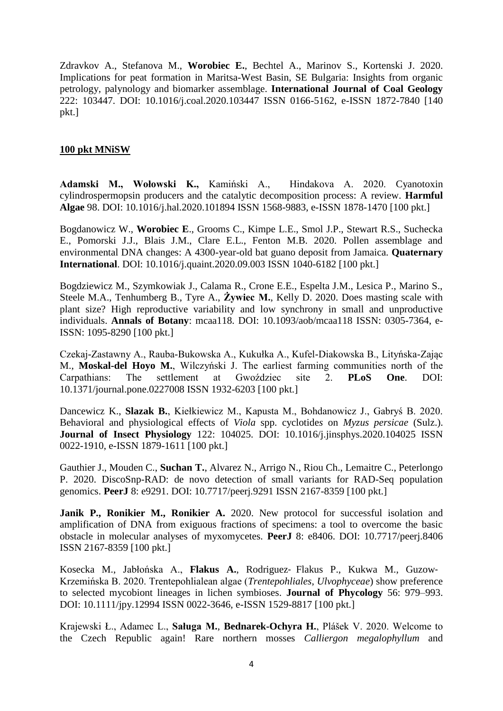Zdravkov A., Stefanova M., **Worobiec E.**, Bechtel A., Marinov S., Kortenski J. 2020. Implications for peat formation in Maritsa-West Basin, SE Bulgaria: Insights from organic petrology, palynology and biomarker assemblage. **International Journal of Coal Geology** 222: 103447. DOI: 10.1016/j.coal.2020.103447 ISSN 0166-5162, e-ISSN 1872-7840 [140 pkt.]

# **100 pkt MNiSW**

**Adamski M., Wołowski K.,** Kamiński A., Hindakova A. 2020. Cyanotoxin cylindrospermopsin producers and the catalytic decomposition process: A review. **Harmful Algae** 98. DOI: 10.1016/j.hal.2020.101894 ISSN 1568-9883, e-ISSN 1878-1470 [100 pkt.]

Bogdanowicz W., **Worobiec E**., Grooms C., Kimpe L.E., Smol J.P., Stewart R.S., Suchecka E., Pomorski J.J., Blais J.M., Clare E.L., Fenton M.B. 2020. Pollen assemblage and environmental DNA changes: A 4300-year-old bat guano deposit from Jamaica. **Quaternary International**. DOI: 10.1016/j.quaint.2020.09.003 ISSN 1040-6182 [100 pkt.]

Bogdziewicz M., Szymkowiak J., Calama R., Crone E.E., Espelta J.M., Lesica P., Marino S., Steele M.A., Tenhumberg B., Tyre A., **Żywiec M.**, Kelly D. 2020. Does masting scale with plant size? High reproductive variability and low synchrony in small and unproductive individuals. **Annals of Botany**: mcaa118. DOI: 10.1093/aob/mcaa118 ISSN: 0305-7364, e-ISSN: 1095-8290 [100 pkt.]

Czekaj-Zastawny A., Rauba-Bukowska A., Kukułka A., Kufel-Diakowska B., Lityńska-Zając M., **Moskal-del Hoyo M.**, Wilczyński J. The earliest farming communities north of the Carpathians: The settlement at Gwoździec site 2. **PLoS One**. DOI: 10.1371/journal.pone.0227008 ISSN 1932-6203 [100 pkt.]

Dancewicz K., **Slazak B.**, Kiełkiewicz M., Kapusta M., Bohdanowicz J., Gabryś B. 2020. Behavioral and physiological effects of *Viola* spp. cyclotide*s* on *Myzus persicae* (Sulz.). **Journal of Insect Physiology** 122: 104025. DOI: 10.1016/j.jinsphys.2020.104025 ISSN 0022-1910, e-ISSN 1879-1611 [100 pkt.]

Gauthier J., Mouden C., **Suchan T.**, Alvarez N., Arrigo N., Riou Ch., Lemaitre C., Peterlongo P. 2020. DiscoSnp-RAD: de novo detection of small variants for RAD-Seq population genomics. **PeerJ** 8: e9291. DOI: 10.7717/peerj.9291 ISSN 2167-8359 [100 pkt.]

**Janik P., Ronikier M., Ronikier A.** 2020. New protocol for successful isolation and amplification of DNA from exiguous fractions of specimens: a tool to overcome the basic obstacle in molecular analyses of myxomycetes. **PeerJ** 8: e8406. DOI: 10.7717/peerj.8406 ISSN 2167-8359 [100 pkt.]

Kosecka M., Jabłońska A., **Flakus A.**, Rodriguez‐ Flakus P., Kukwa M., Guzow‐ Krzemińska B. 2020. Trentepohlialean algae (*Trentepohliales*, *Ulvophyceae*) show preference to selected mycobiont lineages in lichen symbioses. **Journal of Phycology** 56: 979–993. DOI: 10.1111/jpy.12994 ISSN 0022-3646, e-ISSN 1529-8817 [100 pkt.]

Krajewski Ł., Adamec L., **Saługa M.**, **Bednarek-Ochyra H.**, Plášek V. 2020. Welcome to the Czech Republic again! Rare northern mosses *Calliergon megalophyllum* and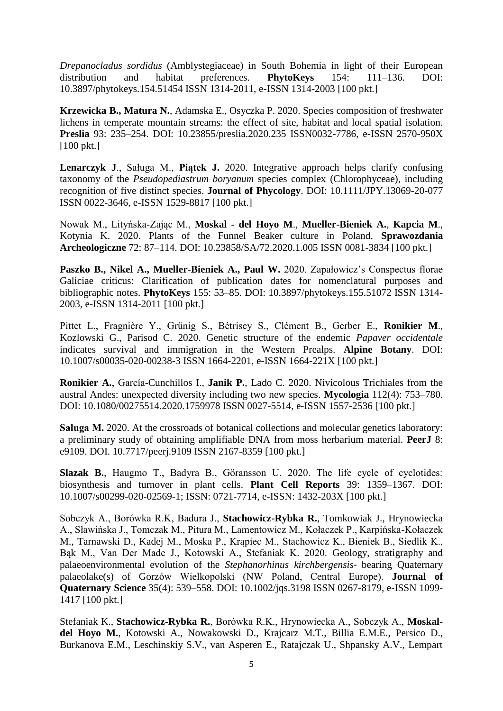*Drepanocladus sordidus* (Amblystegiaceae) in South Bohemia in light of their European distribution and habitat preferences. **PhytoKeys** 154: 111–136. DOI: 10.3897/phytokeys.154.51454 ISSN 1314-2011, e-ISSN 1314-2003 [100 pkt.]

**Krzewicka B., Matura N.**, Adamska E., Osyczka P. 2020. Species composition of freshwater lichens in temperate mountain streams: the effect of site, habitat and local spatial isolation. **Preslia** 93: 235–254. DOI: 10.23855/preslia.2020.235 ISSN0032-7786, e-ISSN 2570-950X [100 pkt.]

**Lenarczyk J**., Saługa M., **Piątek J.** 2020. Integrative approach helps clarify confusing taxonomy of the *Pseudopediastrum boryanum* species complex (Chlorophyceae), including recognition of five distinct species. **Journal of Phycology**. DOI: 10.1111/JPY.13069-20-077 ISSN 0022-3646, e-ISSN 1529-8817 [100 pkt.]

Nowak M., Lityńska-Zając M., **Moskal - del Hoyo M**., **Mueller-Bieniek A.**, **Kapcia M**., Kotynia K. 2020. Plants of the Funnel Beaker culture in Poland. **Sprawozdania Archeologiczne** 72: 87–114. DOI: 10.23858/SA/72.2020.1.005 ISSN 0081-3834 [100 pkt.]

**Paszko B., Nikel A., Mueller-Bieniek A., Paul W.** 2020. Zapałowicz's Conspectus florae Galiciae criticus: Clarification of publication dates for nomenclatural purposes and bibliographic notes. **PhytoKeys** 155: 53–85. DOI: 10.3897/phytokeys.155.51072 ISSN 1314- 2003, e-ISSN 1314-2011 [100 pkt.]

Pittet L., Fragnière Y., Grünig S., Bétrisey S., Clément B., Gerber E., **Ronikier M**., Kozlowski G., Parisod C. 2020. Genetic structure of the endemic *Papaver occidentale* indicates survival and immigration in the Western Prealps. **Alpine Botany**. DOI: 10.1007/s00035-020-00238-3 ISSN 1664-2201, e-ISSN 1664-221X [100 pkt.]

**Ronikier A.**, García-Cunchillos I., **Janik P.**, Lado C. 2020. Nivicolous Trichiales from the austral Andes: unexpected diversity including two new species. **Mycologia** 112(4): 753–780. DOI: 10.1080/00275514.2020.1759978 ISSN 0027-5514, e-ISSN 1557-2536 [100 pkt.]

**Saługa M.** 2020. At the crossroads of botanical collections and molecular genetics laboratory: a preliminary study of obtaining amplifiable DNA from moss herbarium material. **PeerJ** 8: e9109. DOI. 10.7717/peerj.9109 ISSN 2167-8359 [100 pkt.]

**Slazak B.**, Haugmo T., Badyra B., Göransson U. 2020. The life cycle of cyclotides: biosynthesis and turnover in plant cells. **Plant Cell Reports** 39: 1359–1367. DOI: 10.1007/s00299-020-02569-1; ISSN: 0721-7714, e-ISSN: 1432-203X [100 pkt.]

Sobczyk A., Borówka R.K, Badura J., **Stachowicz-Rybka R.**, Tomkowiak J., Hrynowiecka A., Sławińska J., Tomczak M., Pitura M., Lamentowicz M., Kołaczek P., Karpińska-Kołaczek M., Tarnawski D., Kadej M., Moska P., Krąpiec M., Stachowicz K., Bieniek B., Siedlik K., Bąk M., Van Der Made J., Kotowski A., Stefaniak K. 2020. Geology, stratigraphy and palaeoenvironmental evolution of the *Stephanorhinus kirchbergensis*‐ bearing Quaternary palaeolake(s) of Gorzów Wielkopolski (NW Poland, Central Europe). **Journal of Quaternary Science** 35(4): 539–558. DOI: 10.1002/jqs.3198 ISSN 0267-8179, e-ISSN 1099- 1417 [100 pkt.]

Stefaniak K., **Stachowicz-Rybka R.**, Borówka R.K., Hrynowiecka A., Sobczyk A., **Moskaldel Hoyo M.**, Kotowski A., Nowakowski D., Krajcarz M.T., Billia E.M.E., Persico D., Burkanova E.M., Leschinskiy S.V., van Asperen E., Ratajczak U., Shpansky A.V., Lempart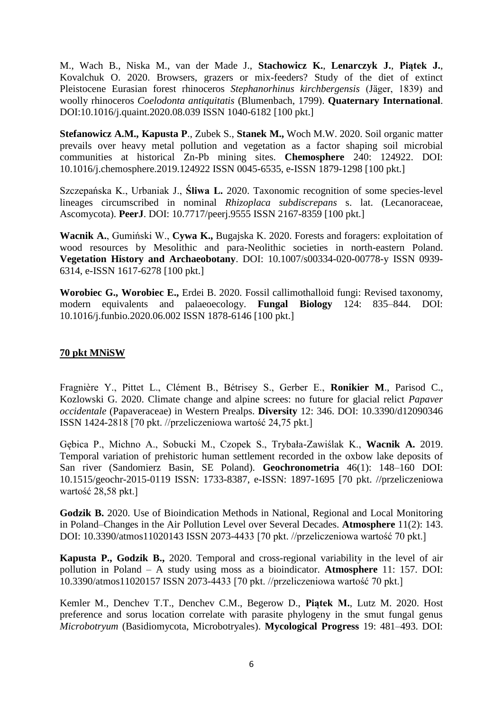M., Wach B., Niska M., van der Made J., **Stachowicz K.**, **Lenarczyk J.**, **Piątek J.**, Kovalchuk O. 2020. Browsers, grazers or mix-feeders? Study of the diet of extinct Pleistocene Eurasian forest rhinoceros *Stephanorhinus kirchbergensis* (Jäger, 1839) and woolly rhinoceros *Coelodonta antiquitatis* (Blumenbach, 1799). **Quaternary International**. DOI:10.1016/j.quaint.2020.08.039 ISSN 1040-6182 [100 pkt.]

**Stefanowicz A.M., Kapusta P**., Zubek S., **Stanek M.,** Woch M.W. 2020. Soil organic matter prevails over heavy metal pollution and vegetation as a factor shaping soil microbial communities at historical Zn-Pb mining sites. **Chemosphere** 240: 124922. DOI: 10.1016/j.chemosphere.2019.124922 ISSN 0045-6535, e-ISSN 1879-1298 [100 pkt.]

Szczepańska K., Urbaniak J., **Śliwa L.** 2020. Taxonomic recognition of some species-level lineages circumscribed in nominal *Rhizoplaca subdiscrepans* s. lat. (Lecanoraceae, Ascomycota). **PeerJ**. DOI: 10.7717/peerj.9555 ISSN 2167-8359 [100 pkt.]

**Wacnik A.**, Gumiński W., **Cywa K.,** Bugajska K. 2020. Forests and foragers: exploitation of wood resources by Mesolithic and para-Neolithic societies in north-eastern Poland. **Vegetation History and Archaeobotany**. DOI: 10.1007/s00334-020-00778-y ISSN 0939- 6314, e-ISSN 1617-6278 [100 pkt.]

**Worobiec G., Worobiec E.,** Erdei B. 2020. Fossil callimothalloid fungi: Revised taxonomy, modern equivalents and palaeoecology. **Fungal Biology** 124: 835–844. DOI: 10.1016/j.funbio.2020.06.002 ISSN 1878-6146 [100 pkt.]

## **70 pkt MNiSW**

Fragnière Y., Pittet L., Clément B., Bétrisey S., Gerber E., **Ronikier M**., Parisod C., Kozlowski G. 2020. Climate change and alpine screes: no future for glacial relict *Papaver occidentale* (Papaveraceae) in Western Prealps. **Diversity** 12: 346. DOI: 10.3390/d12090346 ISSN 1424-2818 [70 pkt. //przeliczeniowa wartość 24,75 pkt.]

Gębica P., Michno A., Sobucki M., Czopek S., Trybała-Zawiślak K., **Wacnik A.** 2019. Temporal variation of prehistoric human settlement recorded in the oxbow lake deposits of San river (Sandomierz Basin, SE Poland). **Geochronometria** 46(1): 148–160 DOI: 10.1515/geochr-2015-0119 ISSN: 1733-8387, e-ISSN: 1897-1695 [70 pkt. //przeliczeniowa wartość 28,58 pkt.]

**Godzik B.** 2020. Use of Bioindication Methods in National, Regional and Local Monitoring in Poland–Changes in the Air Pollution Level over Several Decades. **Atmosphere** 11(2): 143. DOI: 10.3390/atmos11020143 ISSN 2073-4433 [70 pkt. //przeliczeniowa wartość 70 pkt.]

**Kapusta P., Godzik B.,** 2020. Temporal and cross-regional variability in the level of air pollution in Poland – A study using moss as a bioindicator. **Atmosphere** 11: 157. DOI: 10.3390/atmos11020157 ISSN 2073-4433 [70 pkt. //przeliczeniowa wartość 70 pkt.]

Kemler M., Denchev T.T., Denchev C.M., Begerow D., **Piątek M.**, Lutz M. 2020. Host preference and sorus location correlate with parasite phylogeny in the smut fungal genus *Microbotryum* (Basidiomycota, Microbotryales). **Mycological Progress** 19: 481–493. DOI: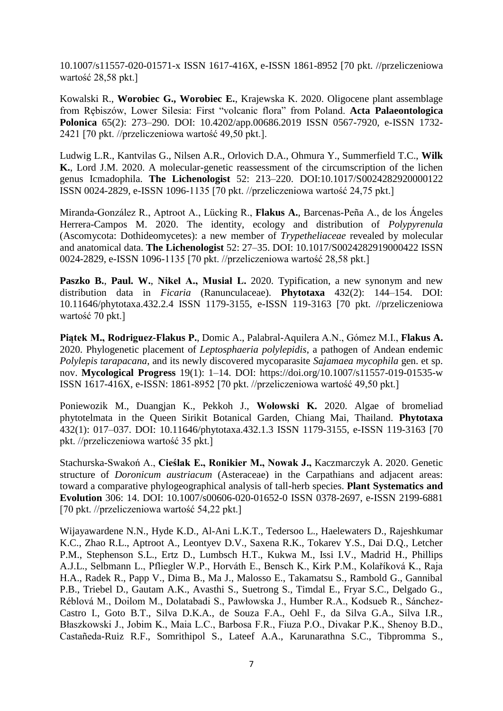10.1007/s11557-020-01571-x ISSN 1617-416X, e-ISSN 1861-8952 [70 pkt. //przeliczeniowa wartość 28,58 pkt.]

Kowalski R., **Worobiec G., Worobiec E.**, Krajewska K. 2020. Oligocene plant assemblage from Rębiszów, Lower Silesia: First "volcanic flora" from Poland. **Acta Palaeontologica Polonica** 65(2): 273–290. DOI: 10.4202/app.00686.2019 ISSN 0567-7920, e-ISSN 1732- 2421 [70 pkt. //przeliczeniowa wartość 49,50 pkt.].

Ludwig L.R., Kantvilas G., Nilsen A.R., Orlovich D.A., Ohmura Y., Summerfield T.C., **Wilk K.**, Lord J.M. 2020. A molecular-genetic reassessment of the circumscription of the lichen genus Icmadophila. **The Lichenologist** 52: 213–220. DOI:10.1017/S0024282920000122 ISSN 0024-2829, e-ISSN 1096-1135 [70 pkt. //przeliczeniowa wartość 24,75 pkt.]

Miranda-González R., Aptroot A., Lücking R., **Flakus A.**, Barcenas-Peña A., de los Ángeles Herrera-Campos M. 2020. The identity, ecology and distribution of *Polypyrenula* (Ascomycota: Dothideomycetes): a new member of *Trypetheliaceae* revealed by molecular and anatomical data. **The Lichenologist** 52: 27–35. DOI: 10.1017/S0024282919000422 ISSN 0024-2829, e-ISSN 1096-1135 [70 pkt. //przeliczeniowa wartość 28,58 pkt.]

**Paszko B.**, **Paul. W.**, **Nikel A., Musiał L.** 2020. Typification, a new synonym and new distribution data in *Ficaria* (Ranunculaceae). **Phytotaxa** 432(2): 144–154. DOI: 10.11646/phytotaxa.432.2.4 ISSN 1179-3155, e-ISSN 119-3163 [70 pkt. //przeliczeniowa wartość 70 pkt.]

**Piątek M., Rodriguez-Flakus P.**, Domic A., Palabral-Aquilera A.N., Gómez M.I., **Flakus A.** 2020. Phylogenetic placement of *Leptosphaeria polylepidis*, a pathogen of Andean endemic *Polylepis tarapacana*, and its newly discovered mycoparasite *Sajamaea mycophila* gen. et sp. nov. **Mycological Progress** 19(1): 1–14. DOI: https://doi.org/10.1007/s11557-019-01535-w ISSN 1617-416X, e-ISSN: 1861-8952 [70 pkt. //przeliczeniowa wartość 49,50 pkt.]

Poniewozik M., Duangjan K., Pekkoh J., **Wołowski K.** 2020. Algae of bromeliad phytotelmata in the Queen Sirikit Botanical Garden, Chiang Mai, Thailand. **Phytotaxa** 432(1): 017–037. DOI: 10.11646/phytotaxa.432.1.3 ISSN 1179-3155, e-ISSN 119-3163 [70 pkt. //przeliczeniowa wartość 35 pkt.]

Stachurska-Swakoń A., **Cieślak E., Ronikier M., Nowak J.,** Kaczmarczyk A. 2020. Genetic structure of *Doronicum austriacum* (Asteraceae) in the Carpathians and adjacent areas: toward a comparative phylogeographical analysis of tall-herb species. **Plant Systematics and Evolution** 306: 14. DOI: 10.1007/s00606-020-01652-0 ISSN 0378-2697, e-ISSN 2199-6881 [70 pkt. //przeliczeniowa wartość 54,22 pkt.]

Wijayawardene N.N., Hyde K.D., Al-Ani L.K.T., Tedersoo L., Haelewaters D., Rajeshkumar K.C., Zhao R.L., Aptroot A., Leontyev D.V., Saxena R.K., Tokarev Y.S., Dai D.Q., Letcher P.M., Stephenson S.L., Ertz D., Lumbsch H.T., Kukwa M., Issi I.V., Madrid H., Phillips A.J.L., Selbmann L., Pfliegler W.P., Horváth E., Bensch K., Kirk P.M., Kolaříková K., Raja H.A., Radek R., Papp V., Dima B., Ma J., Malosso E., Takamatsu S., Rambold G., Gannibal P.B., Triebel D., Gautam A.K., Avasthi S., Suetrong S., Timdal E., Fryar S.C., Delgado G., Réblová M., Doilom M., Dolatabadi S., Pawłowska J., Humber R.A., Kodsueb R., Sánchez-Castro I., Goto B.T., Silva D.K.A., de Souza F.A., Oehl F., da Silva G.A., Silva I.R., Błaszkowski J., Jobim K., Maia L.C., Barbosa F.R., Fiuza P.O., Divakar P.K., Shenoy B.D., Castañeda-Ruiz R.F., Somrithipol S., Lateef A.A., Karunarathna S.C., Tibpromma S.,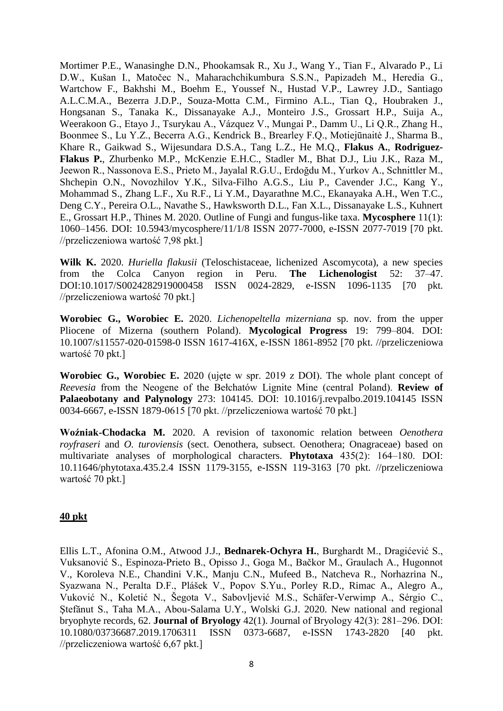Mortimer P.E., Wanasinghe D.N., Phookamsak R., Xu J., Wang Y., Tian F., Alvarado P., Li D.W., Kušan I., Matočec N., Maharachchikumbura S.S.N., Papizadeh M., Heredia G., Wartchow F., Bakhshi M., Boehm E., Youssef N., Hustad V.P., Lawrey J.D., Santiago A.L.C.M.A., Bezerra J.D.P., Souza-Motta C.M., Firmino A.L., Tian Q., Houbraken J., Hongsanan S., Tanaka K., Dissanayake A.J., Monteiro J.S., Grossart H.P., Suija A., Weerakoon G., Etayo J., Tsurykau A., Vázquez V., Mungai P., Damm U., Li Q.R., Zhang H., Boonmee S., Lu Y.Z., Becerra A.G., Kendrick B., Brearley F.Q., Motiejūnaitė J., Sharma B., Khare R., Gaikwad S., Wijesundara D.S.A., Tang L.Z., He M.Q., **Flakus A.**, **Rodriguez-Flakus P.**, Zhurbenko M.P., McKenzie E.H.C., Stadler M., Bhat D.J., Liu J.K., Raza M., Jeewon R., Nassonova E.S., Prieto M., Jayalal R.G.U., Erdoğdu M., Yurkov A., Schnittler M., Shchepin O.N., Novozhilov Y.K., Silva-Filho A.G.S., Liu P., Cavender J.C., Kang Y., Mohammad S., Zhang L.F., Xu R.F., Li Y.M., Dayarathne M.C., Ekanayaka A.H., Wen T.C., Deng C.Y., Pereira O.L., Navathe S., Hawksworth D.L., Fan X.L., Dissanayake L.S., Kuhnert E., Grossart H.P., Thines M. 2020. Outline of Fungi and fungus-like taxa. **Mycosphere** 11(1): 1060–1456. DOI: 10.5943/mycosphere/11/1/8 ISSN 2077-7000, e-ISSN 2077-7019 [70 pkt. //przeliczeniowa wartość 7,98 pkt.]

**Wilk K.** 2020. *Huriella flakusii* (Teloschistaceae, lichenized Ascomycota), a new species from the Colca Canyon region in Peru. **The Lichenologist** 52: 37–47. DOI:10.1017/S0024282919000458 ISSN 0024-2829, e-ISSN 1096-1135 [70 pkt. //przeliczeniowa wartość 70 pkt.]

**Worobiec G., Worobiec E.** 2020. *Lichenopeltella mizerniana* sp. nov. from the upper Pliocene of Mizerna (southern Poland). **Mycological Progress** 19: 799–804. DOI: 10.1007/s11557-020-01598-0 ISSN 1617-416X, e-ISSN 1861-8952 [70 pkt. //przeliczeniowa wartość 70 pkt.]

**Worobiec G., Worobiec E.** 2020 (ujęte w spr. 2019 z DOI). The whole plant concept of *Reevesia* from the Neogene of the Bełchatów Lignite Mine (central Poland). **Review of Palaeobotany and Palynology** 273: 104145. DOI: 10.1016/j.revpalbo.2019.104145 ISSN 0034-6667, e-ISSN 1879-0615 [70 pkt. //przeliczeniowa wartość 70 pkt.]

**Woźniak-Chodacka M.** 2020. A revision of taxonomic relation between *Oenothera royfraseri* and *O. turoviensis* (sect. Oenothera, subsect. Oenothera; Onagraceae) based on multivariate analyses of morphological characters. **Phytotaxa** 435(2): 164–180. DOI: 10.11646/phytotaxa.435.2.4 ISSN 1179-3155, e-ISSN 119-3163 [70 pkt. //przeliczeniowa wartość 70 pkt.]

# **40 pkt**

Ellis L.T., Afonina O.M., Atwood J.J., **Bednarek-Ochyra H.**, Burghardt M., Dragićević S., Vuksanović S., Espinoza-Prieto B., Opisso J., Goga M., Bačkor M., Graulach A., Hugonnot V., Koroleva N.E., Chandini V.K., Manju C.N., Mufeed B., Natcheva R., Norhazrina N., Syazwana N., Peralta D.F., Plášek V., Popov S.Yu., Porley R.D., Rimac A., Alegro A., Vuković N., Koletić N., Šegota V., Sabovljević M.S., Schäfer-Verwimp A., Sérgio C., Ştefănut S., Taha M.A., Abou-Salama U.Y., Wolski G.J. 2020. New national and regional bryophyte records, 62. **Journal of Bryology** 42(1). Journal of Bryology 42(3): 281–296. DOI: 10.1080/03736687.2019.1706311 ISSN 0373-6687, e-ISSN 1743-2820 [40 pkt. //przeliczeniowa wartość 6,67 pkt.]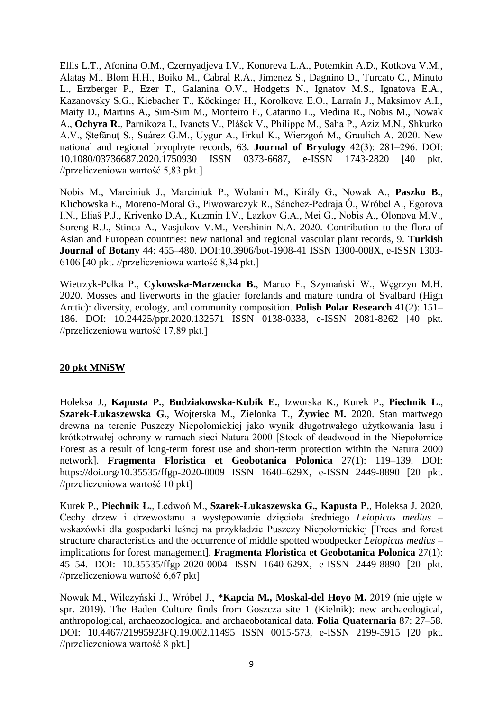Ellis L.T., Afonina O.M., Czernyadjeva I.V., Konoreva L.A., Potemkin A.D., Kotkova V.M., Alataş M., Blom H.H., Boiko M., Cabral R.A., Jimenez S., Dagnino D., Turcato C., Minuto L., Erzberger P., Ezer T., Galanina O.V., Hodgetts N., Ignatov M.S., Ignatova E.A., Kazanovsky S.G., Kiebacher T., Köckinger H., Korolkova E.O., Larraín J., Maksimov A.I., Maity D., Martins A., Sim-Sim M., Monteiro F., Catarino L., Medina R., Nobis M., Nowak A., **Ochyra R.**, Parnikoza I., Ivanets V., Plášek V., Philippe M., Saha P., Aziz M.N., Shkurko A.V., Ştefănuţ S., Suárez G.M., Uygur A., Erkul K., Wierzgoń M., Graulich A. 2020. New national and regional bryophyte records, 63. **Journal of Bryology** 42(3): 281-296. DOI: 10.1080/03736687.2020.1750930 ISSN 0373-6687, e-ISSN 1743-2820 [40 pkt. //przeliczeniowa wartość 5,83 pkt.]

Nobis M., Marciniuk J., Marciniuk P., Wolanin M., Király G., Nowak A., **Paszko B.**, Klichowska E., Moreno-Moral G., Piwowarczyk R., Sánchez-Pedraja Ó., Wróbel A., Egorova I.N., Eliaš P.J., Krivenko D.A., Kuzmin I.V., Lazkov G.A., Mei G., Nobis A., Olonova M.V., Soreng R.J., Stinca A., Vasjukov V.M., Vershinin N.A. 2020. Contribution to the flora of Asian and European countries: new national and regional vascular plant records, 9. **Turkish Journal of Botany** 44: 455–480. DOI:10.3906/bot-1908-41 ISSN 1300-008X, e-ISSN 1303- 6106 [40 pkt. //przeliczeniowa wartość 8,34 pkt.]

Wietrzyk-Pełka P., **Cykowska-Marzencka B.**, Maruo F., Szymański W., Węgrzyn M.H. 2020. Mosses and liverworts in the glacier forelands and mature tundra of Svalbard (High Arctic): diversity, ecology, and community composition. **Polish Polar Research** 41(2): 151– 186. DOI: 10.24425/ppr.2020.132571 ISSN 0138-0338, e-ISSN 2081-8262 [40 pkt. //przeliczeniowa wartość 17,89 pkt.]

# **20 pkt MNiSW**

Holeksa J., **Kapusta P.**, **Budziakowska-Kubik E.**, Izworska K., Kurek P., **Piechnik Ł.**, **Szarek-Łukaszewska G.**, Wojterska M., Zielonka T., **Żywiec M.** 2020. Stan martwego drewna na terenie Puszczy Niepołomickiej jako wynik długotrwałego użytkowania lasu i krótkotrwałej ochrony w ramach sieci Natura 2000 [Stock of deadwood in the Niepołomice Forest as a result of long-term forest use and short-term protection within the Natura 2000 network]. **Fragmenta Floristica et Geobotanica Polonica** 27(1): 119–139. DOI: https://doi.org/10.35535/ffgp-2020-0009 ISSN 1640–629X, e-ISSN 2449-8890 [20 pkt. //przeliczeniowa wartość 10 pkt]

Kurek P., **Piechnik Ł.**, Ledwoń M., **Szarek-Łukaszewska G., Kapusta P.**, Holeksa J. 2020. Cechy drzew i drzewostanu a występowanie dzięcioła średniego *Leiopicus medius* – wskazówki dla gospodarki leśnej na przykładzie Puszczy Niepołomickiej [Trees and forest structure characteristics and the occurrence of middle spotted woodpecker *Leiopicus medius* – implications for forest management]. **Fragmenta Floristica et Geobotanica Polonica** 27(1): 45–54. DOI: 10.35535/ffgp-2020-0004 ISSN 1640-629X, e-ISSN 2449-8890 [20 pkt. //przeliczeniowa wartość 6,67 pkt]

Nowak M., Wilczyński J., Wróbel J., **\*Kapcia M., Moskal-del Hoyo M.** 2019 (nie ujęte w spr. 2019). The Baden Culture finds from Goszcza site 1 (Kielnik): new archaeological, anthropological, archaeozoological and archaeobotanical data. **Folia Quaternaria** 87: 27–58. DOI: 10.4467/21995923FQ.19.002.11495 ISSN 0015-573, e-ISSN 2199-5915 [20 pkt. //przeliczeniowa wartość 8 pkt.]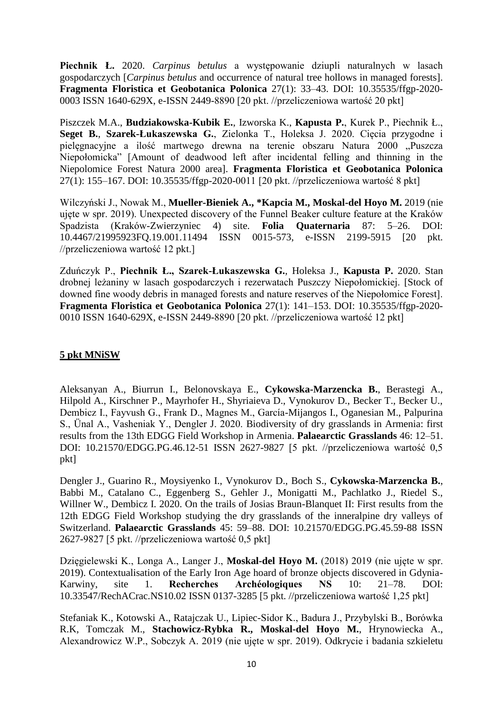**Piechnik Ł.** 2020. *Carpinus betulus* a występowanie dziupli naturalnych w lasach gospodarczych [*Carpinus betulus* and occurrence of natural tree hollows in managed forests]. **Fragmenta Floristica et Geobotanica Polonica** 27(1): 33–43. DOI: 10.35535/ffgp-2020- 0003 ISSN 1640-629X, e-ISSN 2449-8890 [20 pkt. //przeliczeniowa wartość 20 pkt]

Piszczek M.A., **Budziakowska-Kubik E.**, Izworska K., **Kapusta P.**, Kurek P., Piechnik Ł., **Seget B.**, **Szarek-Łukaszewska G.**, Zielonka T., Holeksa J. 2020. Cięcia przygodne i pielęgnacyjne a ilość martwego drewna na terenie obszaru Natura 2000 "Puszcza Niepołomicka" [Amount of deadwood left after incidental felling and thinning in the Niepolomice Forest Natura 2000 area]. **Fragmenta Floristica et Geobotanica Polonica** 27(1): 155–167. DOI: 10.35535/ffgp-2020-0011 [20 pkt. //przeliczeniowa wartość 8 pkt]

Wilczyński J., Nowak M., **Mueller-Bieniek A., \*Kapcia M., Moskal-del Hoyo M.** 2019 (nie ujęte w spr. 2019). Unexpected discovery of the Funnel Beaker culture feature at the Kraków Spadzista (Kraków-Zwierzyniec 4) site. **Folia Quaternaria** 87: 5–26. DOI: 10.4467/21995923FQ.19.001.11494 ISSN 0015-573, e-ISSN 2199-5915 [20 pkt. //przeliczeniowa wartość 12 pkt.]

Zduńczyk P., **Piechnik Ł., Szarek-Łukaszewska G.**, Holeksa J., **Kapusta P.** 2020. Stan drobnej leżaniny w lasach gospodarczych i rezerwatach Puszczy Niepołomickiej. [Stock of downed fine woody debris in managed forests and nature reserves of the Niepołomice Forest]. **Fragmenta Floristica et Geobotanica Polonica** 27(1): 141–153. DOI: 10.35535/ffgp-2020- 0010 ISSN 1640-629X, e-ISSN 2449-8890 [20 pkt. //przeliczeniowa wartość 12 pkt]

## **5 pkt MNiSW**

Aleksanyan A., Biurrun I., Belonovskaya E., **Cykowska-Marzencka B.**, Berastegi A., Hilpold A., Kirschner P., Mayrhofer H., Shyriaieva D., Vynokurov D., Becker T., Becker U., Dembicz I., Fayvush G., Frank D., Magnes M., García-Mijangos I., Oganesian M., Palpurina S., Ünal A., Vasheniak Y., Dengler J. 2020. Biodiversity of dry grasslands in Armenia: first results from the 13th EDGG Field Workshop in Armenia. **Palaearctic Grasslands** 46: 12–51. DOI: 10.21570/EDGG.PG.46.12-51 ISSN 2627-9827 [5 pkt. //przeliczeniowa wartość 0,5 pkt]

Dengler J., Guarino R., Moysiyenko I., Vynokurov D., Boch S., **Cykowska-Marzencka B.**, Babbi M., Catalano C., Eggenberg S., Gehler J., Monigatti M., Pachlatko J., Riedel S., Willner W., Dembicz I. 2020. On the trails of Josias Braun-Blanquet II: First results from the 12th EDGG Field Workshop studying the dry grasslands of the inneralpine dry valleys of Switzerland. **Palaearctic Grasslands** 45: 59–88. DOI: 10.21570/EDGG.PG.45.59-88 ISSN 2627-9827 [5 pkt. //przeliczeniowa wartość 0,5 pkt]

Dzięgielewski K., Longa A., Langer J., **Moskal-del Hoyo M.** (2018) 2019 (nie ujęte w spr. 2019). Contextualisation of the Early Iron Age hoard of bronze objects discovered in Gdynia-Karwiny, site 1. **Recherches Archéologiques NS** 10: 21–78. DOI: 10.33547/RechACrac.NS10.02 ISSN 0137-3285 [5 pkt. //przeliczeniowa wartość 1,25 pkt]

Stefaniak K., Kotowski A., Ratajczak U., Lipiec-Sidor K., Badura J., Przybylski B., Borówka R.K, Tomczak M., **Stachowicz-Rybka R., Moskal-del Hoyo M.**, Hrynowiecka A., Alexandrowicz W.P., Sobczyk A. 2019 (nie ujęte w spr. 2019). Odkrycie i badania szkieletu